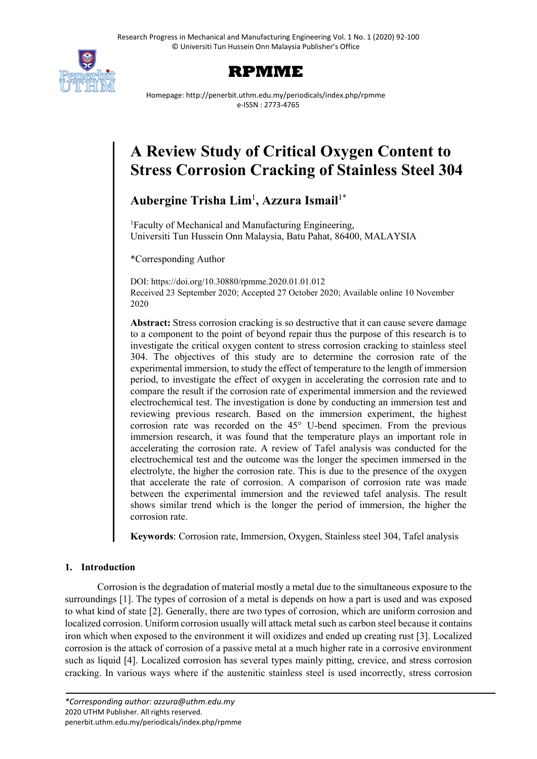



Homepage: http://penerbit.uthm.edu.my/periodicals/index.php/rpmme e-ISSN : 2773-4765

# **A Review Study of Critical Oxygen Content to Stress Corrosion Cracking of Stainless Steel 304**

# **Aubergine Trisha Lim**<sup>1</sup> **, Azzura Ismail**1\*

<sup>1</sup>Faculty of Mechanical and Manufacturing Engineering, Universiti Tun Hussein Onn Malaysia, Batu Pahat, 86400, MALAYSIA

\*Corresponding Author

DOI: https://doi.org/10.30880/rpmme.2020.01.01.012 Received 23 September 2020; Accepted 27 October 2020; Available online 10 November 2020

**Abstract:** Stress corrosion cracking is so destructive that it can cause severe damage to a component to the point of beyond repair thus the purpose of this research is to investigate the critical oxygen content to stress corrosion cracking to stainless steel 304. The objectives of this study are to determine the corrosion rate of the experimental immersion, to study the effect of temperature to the length of immersion period, to investigate the effect of oxygen in accelerating the corrosion rate and to compare the result if the corrosion rate of experimental immersion and the reviewed electrochemical test. The investigation is done by conducting an immersion test and reviewing previous research. Based on the immersion experiment, the highest corrosion rate was recorded on the 45° U-bend specimen. From the previous immersion research, it was found that the temperature plays an important role in accelerating the corrosion rate. A review of Tafel analysis was conducted for the electrochemical test and the outcome was the longer the specimen immersed in the electrolyte, the higher the corrosion rate. This is due to the presence of the oxygen that accelerate the rate of corrosion. A comparison of corrosion rate was made between the experimental immersion and the reviewed tafel analysis. The result shows similar trend which is the longer the period of immersion, the higher the corrosion rate.

**Keywords**: Corrosion rate, Immersion, Oxygen, Stainless steel 304, Tafel analysis

# **1. Introduction**

Corrosion is the degradation of material mostly a metal due to the simultaneous exposure to the surroundings [1]. The types of corrosion of a metal is depends on how a part is used and was exposed to what kind of state [2]. Generally, there are two types of corrosion, which are uniform corrosion and localized corrosion. Uniform corrosion usually will attack metal such as carbon steel because it contains iron which when exposed to the environment it will oxidizes and ended up creating rust [3]. Localized corrosion is the attack of corrosion of a passive metal at a much higher rate in a corrosive environment such as liquid [4]. Localized corrosion has several types mainly pitting, crevice, and stress corrosion cracking. In various ways where if the austenitic stainless steel is used incorrectly, stress corrosion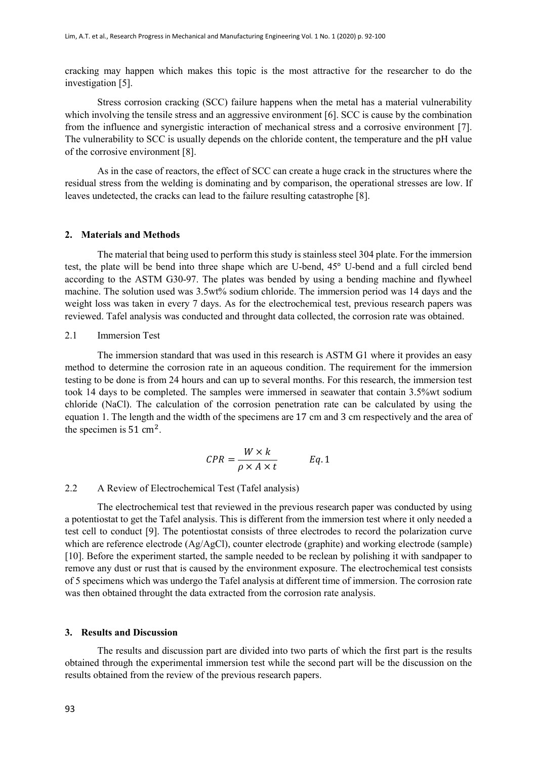cracking may happen which makes this topic is the most attractive for the researcher to do the investigation [5].

Stress corrosion cracking (SCC) failure happens when the metal has a material vulnerability which involving the tensile stress and an aggressive environment [6]. SCC is cause by the combination from the influence and synergistic interaction of mechanical stress and a corrosive environment [7]. The vulnerability to SCC is usually depends on the chloride content, the temperature and the pH value of the corrosive environment [8].

As in the case of reactors, the effect of SCC can create a huge crack in the structures where the residual stress from the welding is dominating and by comparison, the operational stresses are low. If leaves undetected, the cracks can lead to the failure resulting catastrophe [8].

#### **2. Materials and Methods**

The material that being used to perform this study is stainless steel 304 plate. For the immersion test, the plate will be bend into three shape which are U-bend, 45° U-bend and a full circled bend according to the ASTM G30-97. The plates was bended by using a bending machine and flywheel machine. The solution used was 3.5wt% sodium chloride. The immersion period was 14 days and the weight loss was taken in every 7 days. As for the electrochemical test, previous research papers was reviewed. Tafel analysis was conducted and throught data collected, the corrosion rate was obtained.

## 2.1 Immersion Test

The immersion standard that was used in this research is ASTM G1 where it provides an easy method to determine the corrosion rate in an aqueous condition. The requirement for the immersion testing to be done is from 24 hours and can up to several months. For this research, the immersion test took 14 days to be completed. The samples were immersed in seawater that contain 3.5%wt sodium chloride (NaCl). The calculation of the corrosion penetration rate can be calculated by using the equation 1. The length and the width of the specimens are 17 cm and 3 cm respectively and the area of the specimen is  $51 \text{ cm}^2$ .

$$
CPR = \frac{W \times k}{\rho \times A \times t} \qquad Eq. 1
$$

#### 2.2 A Review of Electrochemical Test (Tafel analysis)

The electrochemical test that reviewed in the previous research paper was conducted by using a potentiostat to get the Tafel analysis. This is different from the immersion test where it only needed a test cell to conduct [9]. The potentiostat consists of three electrodes to record the polarization curve which are reference electrode (Ag/AgCl), counter electrode (graphite) and working electrode (sample) [10]. Before the experiment started, the sample needed to be reclean by polishing it with sandpaper to remove any dust or rust that is caused by the environment exposure. The electrochemical test consists of 5 specimens which was undergo the Tafel analysis at different time of immersion. The corrosion rate was then obtained throught the data extracted from the corrosion rate analysis.

#### **3. Results and Discussion**

The results and discussion part are divided into two parts of which the first part is the results obtained through the experimental immersion test while the second part will be the discussion on the results obtained from the review of the previous research papers.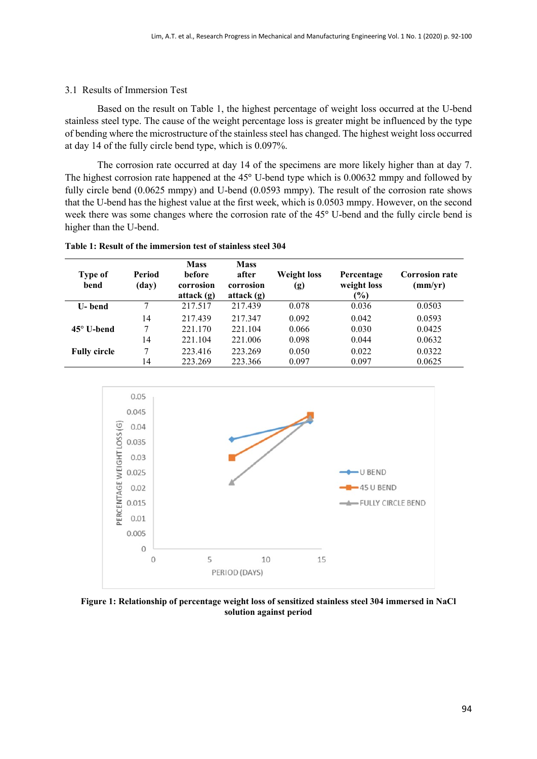#### 3.1 Results of Immersion Test

Based on the result on Table 1, the highest percentage of weight loss occurred at the U-bend stainless steel type. The cause of the weight percentage loss is greater might be influenced by the type of bending where the microstructure of the stainless steel has changed. The highest weight loss occurred at day 14 of the fully circle bend type, which is 0.097%.

The corrosion rate occurred at day 14 of the specimens are more likely higher than at day 7. The highest corrosion rate happened at the 45° U-bend type which is 0.00632 mmpy and followed by fully circle bend (0.0625 mmpy) and U-bend (0.0593 mmpy). The result of the corrosion rate shows that the U-bend has the highest value at the first week, which is 0.0503 mmpy. However, on the second week there was some changes where the corrosion rate of the 45° U-bend and the fully circle bend is higher than the U-bend.

| Table 1: Result of the immersion test of stainless steel 304 |  |  |
|--------------------------------------------------------------|--|--|
|--------------------------------------------------------------|--|--|

| <b>Type of</b><br>bend | Period<br>(day) | <b>Mass</b><br><b>before</b><br>corrosion<br>attack $(g)$ | <b>Mass</b><br>after<br>corrosion<br>attack $(g)$ | <b>Weight loss</b><br>(g) | Percentage<br>weight loss<br>$\frac{1}{2}$ | <b>Corrosion rate</b><br>(mm/yr) |
|------------------------|-----------------|-----------------------------------------------------------|---------------------------------------------------|---------------------------|--------------------------------------------|----------------------------------|
| U- bend                | 7               | 217.517                                                   | 217.439                                           | 0.078                     | 0.036                                      | 0.0503                           |
|                        | 14              | 217.439                                                   | 217.347                                           | 0.092                     | 0.042                                      | 0.0593                           |
| $45^\circ$ U-bend      | 7               | 221.170                                                   | 221.104                                           | 0.066                     | 0.030                                      | 0.0425                           |
|                        | 14              | 221.104                                                   | 221.006                                           | 0.098                     | 0.044                                      | 0.0632                           |
| <b>Fully circle</b>    | 7               | 223.416                                                   | 223.269                                           | 0.050                     | 0.022                                      | 0.0322                           |
|                        | 14              | 223.269                                                   | 223.366                                           | 0.097                     | 0.097                                      | 0.0625                           |



**Figure 1: Relationship of percentage weight loss of sensitized stainless steel 304 immersed in NaCl solution against period**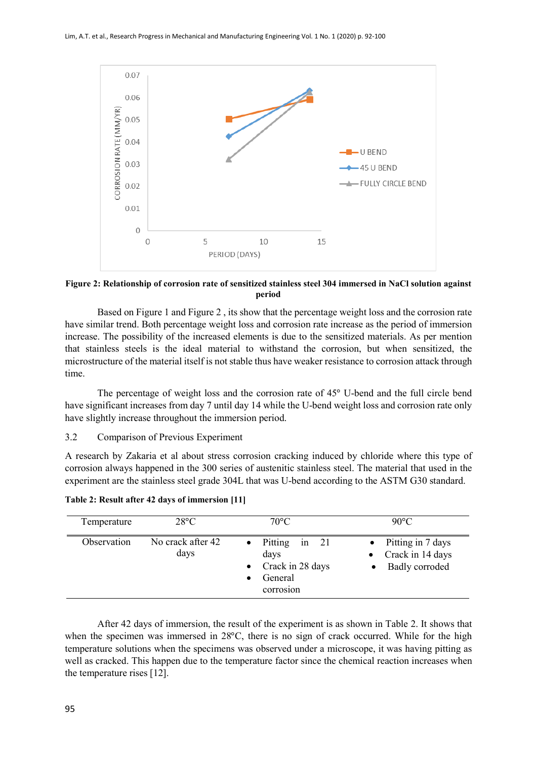

**Figure 2: Relationship of corrosion rate of sensitized stainless steel 304 immersed in NaCl solution against period**

Based on Figure 1 and Figure 2 , its show that the percentage weight loss and the corrosion rate have similar trend. Both percentage weight loss and corrosion rate increase as the period of immersion increase. The possibility of the increased elements is due to the sensitized materials. As per mention that stainless steels is the ideal material to withstand the corrosion, but when sensitized, the microstructure of the material itself is not stable thus have weaker resistance to corrosion attack through time.

The percentage of weight loss and the corrosion rate of 45° U-bend and the full circle bend have significant increases from day 7 until day 14 while the U-bend weight loss and corrosion rate only have slightly increase throughout the immersion period.

#### 3.2 Comparison of Previous Experiment

A research by Zakaria et al about stress corrosion cracking induced by chloride where this type of corrosion always happened in the 300 series of austenitic stainless steel. The material that used in the experiment are the stainless steel grade 304L that was U-bend according to the ASTM G30 standard.

| Temperature | $28^{\circ}C$             | $70^{\circ}$ C                                                              | $90^{\circ}$ C                                                              |
|-------------|---------------------------|-----------------------------------------------------------------------------|-----------------------------------------------------------------------------|
| Observation | No crack after 42<br>days | Pitting in 21<br>days<br>$\bullet$ Crack in 28 days<br>General<br>corrosion | Pitting in 7 days<br>$\bullet$<br>Crack in 14 days<br><b>Badly</b> corroded |

**Table 2: Result after 42 days of immersion [11]**

After 42 days of immersion, the result of the experiment is as shown in Table 2. It shows that when the specimen was immersed in 28°C, there is no sign of crack occurred. While for the high temperature solutions when the specimens was observed under a microscope, it was having pitting as well as cracked. This happen due to the temperature factor since the chemical reaction increases when the temperature rises [12].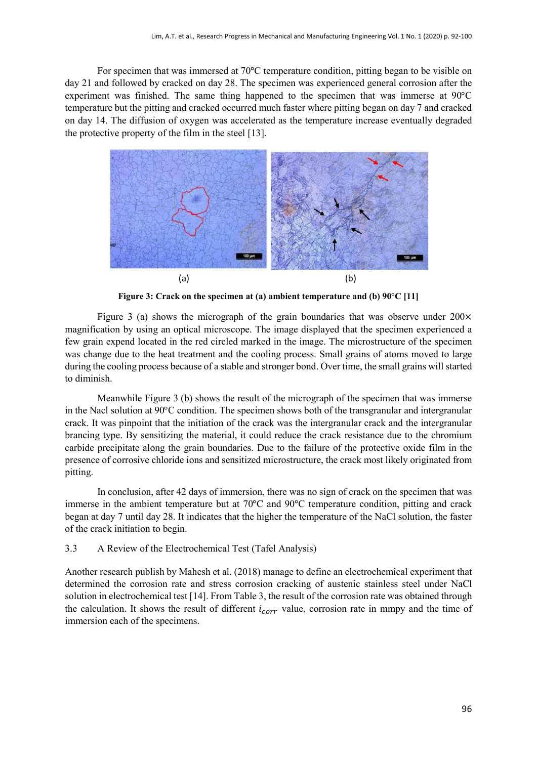For specimen that was immersed at 70°C temperature condition, pitting began to be visible on day 21 and followed by cracked on day 28. The specimen was experienced general corrosion after the experiment was finished. The same thing happened to the specimen that was immerse at 90°C temperature but the pitting and cracked occurred much faster where pitting began on day 7 and cracked on day 14. The diffusion of oxygen was accelerated as the temperature increase eventually degraded the protective property of the film in the steel [13].



**Figure 3: Crack on the specimen at (a) ambient temperature and (b) 90**°**C [11]**

Figure 3 (a) shows the micrograph of the grain boundaries that was observe under  $200 \times$ magnification by using an optical microscope. The image displayed that the specimen experienced a few grain expend located in the red circled marked in the image. The microstructure of the specimen was change due to the heat treatment and the cooling process. Small grains of atoms moved to large during the cooling process because of a stable and stronger bond. Over time, the small grains will started to diminish.

Meanwhile Figure 3 (b) shows the result of the micrograph of the specimen that was immerse in the Nacl solution at 90°C condition. The specimen shows both of the transgranular and intergranular crack. It was pinpoint that the initiation of the crack was the intergranular crack and the intergranular brancing type. By sensitizing the material, it could reduce the crack resistance due to the chromium carbide precipitate along the grain boundaries. Due to the failure of the protective oxide film in the presence of corrosive chloride ions and sensitized microstructure, the crack most likely originated from pitting.

In conclusion, after 42 days of immersion, there was no sign of crack on the specimen that was immerse in the ambient temperature but at 70°C and 90°C temperature condition, pitting and crack began at day 7 until day 28. It indicates that the higher the temperature of the NaCl solution, the faster of the crack initiation to begin.

3.3 A Review of the Electrochemical Test (Tafel Analysis)

Another research publish by Mahesh et al. (2018) manage to define an electrochemical experiment that determined the corrosion rate and stress corrosion cracking of austenic stainless steel under NaCl solution in electrochemical test [14]. From Table 3, the result of the corrosion rate was obtained through the calculation. It shows the result of different  $i_{corr}$  value, corrosion rate in mmpy and the time of immersion each of the specimens.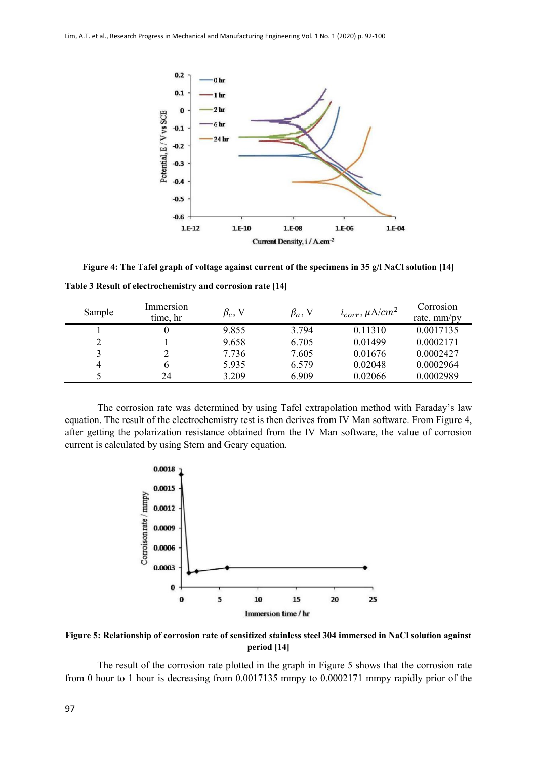

**Figure 4: The Tafel graph of voltage against current of the specimens in 35 g/l NaCl solution [14] Table 3 Result of electrochemistry and corrosion rate [14]**

| Sample | Immersion<br>time, hr | $\beta_c$ , V | $\beta_a$ , V | $i_{corr}$ , $\mu A/cm^2$ | Corrosion<br>rate, mm/py |
|--------|-----------------------|---------------|---------------|---------------------------|--------------------------|
|        |                       | 9.855         | 3.794         | 0.11310                   | 0.0017135                |
|        |                       | 9.658         | 6.705         | 0.01499                   | 0.0002171                |
|        |                       | 7.736         | 7.605         | 0.01676                   | 0.0002427                |
|        |                       | 5.935         | 6.579         | 0.02048                   | 0.0002964                |
|        | 24                    | 3.209         | 6.909         | 0.02066                   | 0.0002989                |

The corrosion rate was determined by using Tafel extrapolation method with Faraday's law equation. The result of the electrochemistry test is then derives from IV Man software. From Figure 4, after getting the polarization resistance obtained from the IV Man software, the value of corrosion current is calculated by using Stern and Geary equation.



**Figure 5: Relationship of corrosion rate of sensitized stainless steel 304 immersed in NaCl solution against period [14]**

The result of the corrosion rate plotted in the graph in Figure 5 shows that the corrosion rate from 0 hour to 1 hour is decreasing from 0.0017135 mmpy to 0.0002171 mmpy rapidly prior of the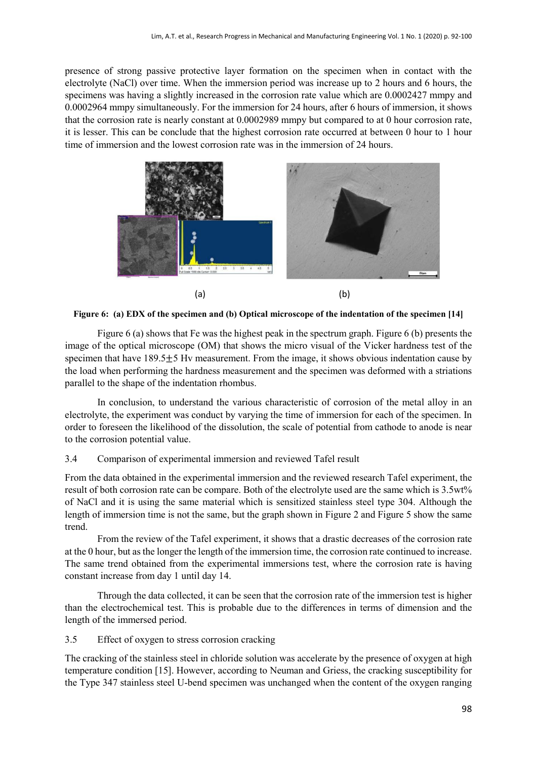presence of strong passive protective layer formation on the specimen when in contact with the electrolyte (NaCl) over time. When the immersion period was increase up to 2 hours and 6 hours, the specimens was having a slightly increased in the corrosion rate value which are 0.0002427 mmpy and 0.0002964 mmpy simultaneously. For the immersion for 24 hours, after 6 hours of immersion, it shows that the corrosion rate is nearly constant at 0.0002989 mmpy but compared to at 0 hour corrosion rate, it is lesser. This can be conclude that the highest corrosion rate occurred at between 0 hour to 1 hour time of immersion and the lowest corrosion rate was in the immersion of 24 hours.



**Figure 6: (a) EDX of the specimen and (b) Optical microscope of the indentation of the specimen [14]**

Figure 6 (a) shows that Fe was the highest peak in the spectrum graph. Figure 6 (b) presents the image of the optical microscope (OM) that shows the micro visual of the Vicker hardness test of the specimen that have  $189.5\pm5$  Hv measurement. From the image, it shows obvious indentation cause by the load when performing the hardness measurement and the specimen was deformed with a striations parallel to the shape of the indentation rhombus.

In conclusion, to understand the various characteristic of corrosion of the metal alloy in an electrolyte, the experiment was conduct by varying the time of immersion for each of the specimen. In order to foreseen the likelihood of the dissolution, the scale of potential from cathode to anode is near to the corrosion potential value.

## 3.4 Comparison of experimental immersion and reviewed Tafel result

From the data obtained in the experimental immersion and the reviewed research Tafel experiment, the result of both corrosion rate can be compare. Both of the electrolyte used are the same which is 3.5wt% of NaCl and it is using the same material which is sensitized stainless steel type 304. Although the length of immersion time is not the same, but the graph shown in Figure 2 and Figure 5 show the same trend.

From the review of the Tafel experiment, it shows that a drastic decreases of the corrosion rate at the 0 hour, but as the longer the length of the immersion time, the corrosion rate continued to increase. The same trend obtained from the experimental immersions test, where the corrosion rate is having constant increase from day 1 until day 14.

Through the data collected, it can be seen that the corrosion rate of the immersion test is higher than the electrochemical test. This is probable due to the differences in terms of dimension and the length of the immersed period.

3.5 Effect of oxygen to stress corrosion cracking

The cracking of the stainless steel in chloride solution was accelerate by the presence of oxygen at high temperature condition [15]. However, according to Neuman and Griess, the cracking susceptibility for the Type 347 stainless steel U-bend specimen was unchanged when the content of the oxygen ranging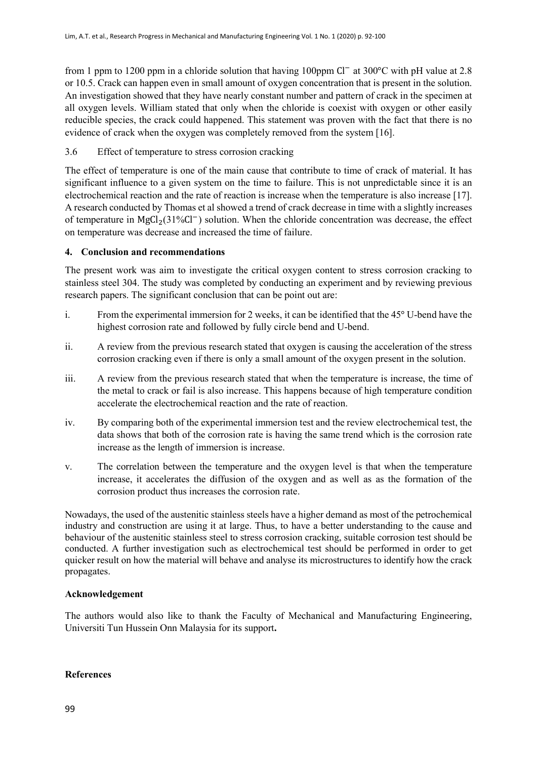from 1 ppm to 1200 ppm in a chloride solution that having 100ppm Cl<sup>−</sup> at 300°C with pH value at 2.8 or 10.5. Crack can happen even in small amount of oxygen concentration that is present in the solution. An investigation showed that they have nearly constant number and pattern of crack in the specimen at all oxygen levels. William stated that only when the chloride is coexist with oxygen or other easily reducible species, the crack could happened. This statement was proven with the fact that there is no evidence of crack when the oxygen was completely removed from the system [16].

3.6 Effect of temperature to stress corrosion cracking

The effect of temperature is one of the main cause that contribute to time of crack of material. It has significant influence to a given system on the time to failure. This is not unpredictable since it is an electrochemical reaction and the rate of reaction is increase when the temperature is also increase [17]. A research conducted by Thomas et al showed a trend of crack decrease in time with a slightly increases of temperature in MgCl<sub>2</sub>(31%Cl<sup>−</sup>) solution. When the chloride concentration was decrease, the effect on temperature was decrease and increased the time of failure.

# **4. Conclusion and recommendations**

The present work was aim to investigate the critical oxygen content to stress corrosion cracking to stainless steel 304. The study was completed by conducting an experiment and by reviewing previous research papers. The significant conclusion that can be point out are:

- i. From the experimental immersion for 2 weeks, it can be identified that the 45° U-bend have the highest corrosion rate and followed by fully circle bend and U-bend.
- ii. A review from the previous research stated that oxygen is causing the acceleration of the stress corrosion cracking even if there is only a small amount of the oxygen present in the solution.
- iii. A review from the previous research stated that when the temperature is increase, the time of the metal to crack or fail is also increase. This happens because of high temperature condition accelerate the electrochemical reaction and the rate of reaction.
- iv. By comparing both of the experimental immersion test and the review electrochemical test, the data shows that both of the corrosion rate is having the same trend which is the corrosion rate increase as the length of immersion is increase.
- v. The correlation between the temperature and the oxygen level is that when the temperature increase, it accelerates the diffusion of the oxygen and as well as as the formation of the corrosion product thus increases the corrosion rate.

Nowadays, the used of the austenitic stainless steels have a higher demand as most of the petrochemical industry and construction are using it at large. Thus, to have a better understanding to the cause and behaviour of the austenitic stainless steel to stress corrosion cracking, suitable corrosion test should be conducted. A further investigation such as electrochemical test should be performed in order to get quicker result on how the material will behave and analyse its microstructures to identify how the crack propagates.

### **Acknowledgement**

The authors would also like to thank the Faculty of Mechanical and Manufacturing Engineering, Universiti Tun Hussein Onn Malaysia for its support**.**

### **References**